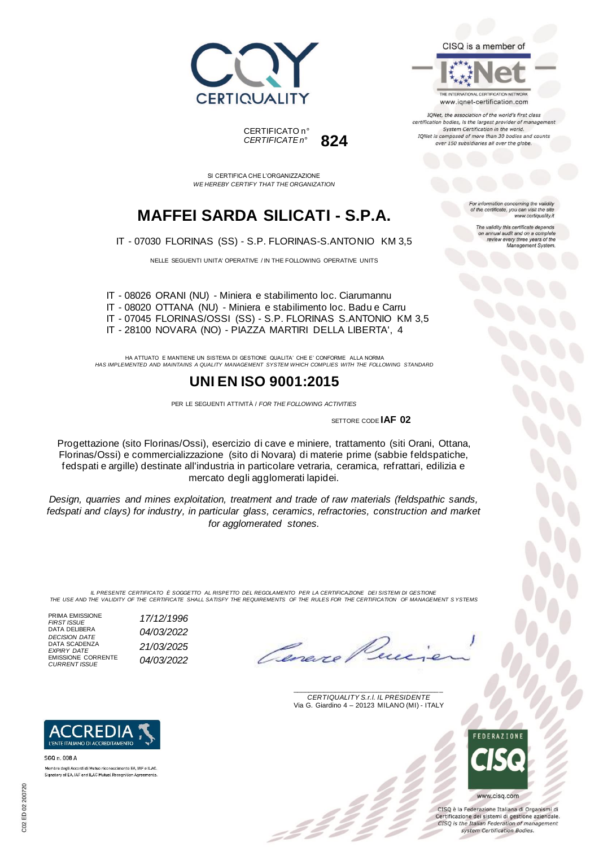



THE INTERNATIONAL CERTIFICATION NETWORK www.iqnet-certification.com

IQNet, the association of the world's first class certification bodies, is the largest provider of management System Certification in the world. IQNet is composed of more than 30 bodies and counts over 150 subsidiaries all over the globe.

> tion concerning the validity of the certificate, you can visit the sit

The validity this certificate depends on annual audit and on a complete<br>review every three years of the<br>Management System.

www.certiquality.it

SI CERTIFICA CHE L'ORGANIZZAZIONE *WE HEREBY CERTIFY THAT THE ORGANIZATION*

CERTIFICATO n°

*CERTIFICATE n°* **824**

## **MAFFEI SARDA SILICATI - S.P.A.**

IT - 07030 FLORINAS (SS) - S.P. FLORINAS-S.ANTONIO KM 3,5

NELLE SEGUENTI UNITA' OPERATIVE / IN THE FOLLOWING OPERATIVE UNITS

IT - 08026 ORANI (NU) - Miniera e stabilimento loc. Ciarumannu IT - 08020 OTTANA (NU) - Miniera e stabilimento loc. Badu e Carru IT - 07045 FLORINAS/OSSI (SS) - S.P. FLORINAS S.ANTONIO KM 3,5 IT - 28100 NOVARA (NO) - PIAZZA MARTIRI DELLA LIBERTA', 4

HA ATTUATO E MANTIENE UN SISTEMA DI GESTIONE QUALITA' CHE E' CONFORME ALLA NORMA *HAS IMPLEMENTED AND MAINTAINS A QUALITY MANAGEMENT SYSTEM WHICH COMPLIES WITH THE FOLLOWING STANDARD*

### **UNI EN ISO 9001:2015**

PER LE SEGUENTI ATTIVITÀ / *FOR THE FOLLOWING ACTIVITIES*

SETTORE CODE **IAF 02**

Progettazione (sito Florinas/Ossi), esercizio di cave e miniere, trattamento (siti Orani, Ottana, Florinas/Ossi) e commercializzazione (sito di Novara) di materie prime (sabbie feldspatiche, fedspati e argille) destinate all'industria in particolare vetraria, ceramica, refrattari, edilizia e mercato degli agglomerati lapidei.

*Design, quarries and mines exploitation, treatment and trade of raw materials (feldspathic sands,*  fedspati and clays) for industry, in particular glass, ceramics, refractories, construction and market *for agglomerated stones.*

*IL PRESENTE CERTIFICATO È SOGGETTO AL RISPETTO DEL REGOLAMENTO PER LA CERTIFICAZIONE DEI SISTEMI DI GESTIONE THE USE AND THE VALIDITY OF THE CERTIFICATE SHALL SATISFY THE REQUIREMENTS OF THE RULES FOR THE CERTIFICATION OF MANAGEMENT S YSTEMS*

PRIMA EMISSIONE<br>FIRST ISSUE DATA DELIBERA DATA SCADENZA *EXPIRY DATE 21/03/2025* EMISSIONE CORRENTE *CURRENT ISSUE 04/03/2022*

*FIRST ISSUE 17/12/1996 DECISION DATE 04/03/2022*

\_\_\_\_\_\_\_\_\_\_\_\_\_\_\_\_\_\_\_\_\_\_\_\_\_\_\_\_\_\_\_\_\_\_\_\_\_\_\_ *CERTIQUALITY S.r.l. IL PRESIDENTE* Via G. Giardino 4 – 20123 MILANO (MI) - ITALY



CISO è la Federazione Italiana di Organismi di Certificazione dei sistemi di gestione aziendale. CISQ is the Italian Federation of management system Certification Bodies.



Membro degli Accordi di Mutuo riconoscimento EA, IAF e ILAC Signatory of EA, IAF and ILAC Mutual Recognition Agreements.